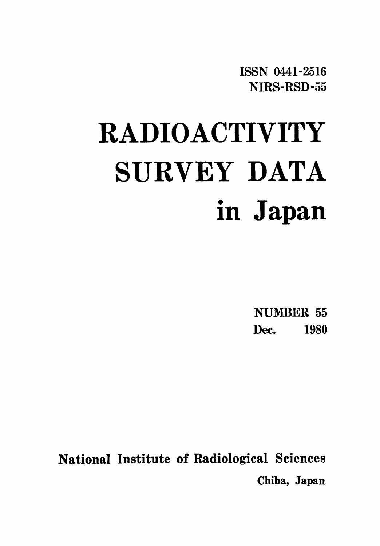ISSN 0441-2516 NIRS-RSD-55

# **RADIOACTIVITY** SURVEY DATA in Japan

**NUMBER 55** Dec. 1980

**National Institute of Radiological Sciences** Chiba, Japan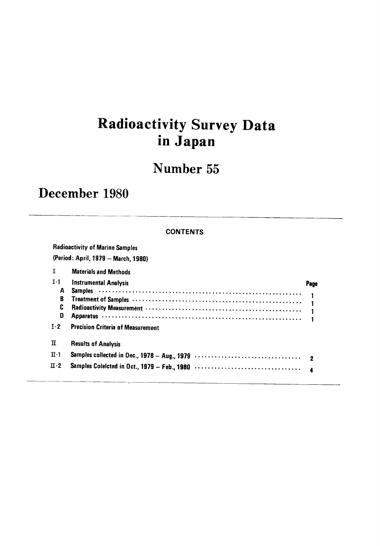# **Radioactivity Survey Data** in Japan

# Number 55

# December 1980

## **CONTENTS**

**Radioactivity of Marine Samples** (Period: April, 1979 - March, 1980)  $\mathbf I$ **Materials and Methods**  $I-1$ **Instrumental Analysis** Page  $\mathbf{A}$  $\mathbf{1}$ Treatment of Samples (and according contained a contact of Samples (and according contained a contact of Samples B  $\mathbf{1}$ C  $\mathbf{1}$ D.  $\mathbf{1}$  $1-2$ **Precision Criteria of Measurement**  $\mathbf I$ **Results of Analysis**  $II-1$  $\mathbf 2$  $\mathbf{I} \cdot \mathbf{2}$ Samples Colelcted in Oct., 1979 - Feb., 1980 ...................................  $\overline{\mathbf{4}}$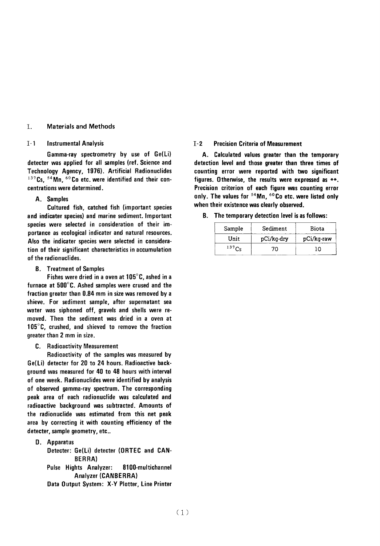#### I. **Materials and Methods**

#### $I-1$ **Instrumental Analysis**

Gamma-ray spectrometry by use of Ge(Li) detecter was applied for all samples (ref. Science and Technology Agency, 1976). Artificial Radionuclides <sup>137</sup>Cs, <sup>54</sup>Mn, <sup>60</sup>Co etc. were identified and their concentrations were determined.

## A. Samples

Cultured fish, catched fish (important species and indicater species) and marine sediment. Important species were selected in consideration of their importance as ecological indicater and natural resources. Also the indicater species were selected in consideration of their significant characteristics in accumulation of the radionuclides.

**B.** Treatment of Samples

Fishes were dried in a oven at  $105^{\circ}$ C, ashed in a furnace at 500°C. Ashed samples were crused and the fraction greater than 0.84 mm in size was removed by a shieve. For sediment sample, after supernatant sea water was siphoned off, gravels and shells were removed. Then the sediment was dried in a oven at 105°C, crushed, and shieved to remove the fraction greater than 2 mm in size.

### C. Radioactivity Measurement

Radioactivity of the samples was measured by Ge(Li) detecter for 20 to 24 hours. Radioactive background was measured for 40 to 48 hours with interval of one week. Radionuclides were identified by analysis of observed gamma-ray spectrum. The corresponding peak area of each radionuclide was calculated and radioactive background was subtracted. Amounts of the radionuclide was estimated from this net peak area by correcting it with counting efficiency of the detecter, sample geometry, etc..

D. Apparatus

Detecter: Ge(Li) detecter (ORTEC and CAN-**BERRA**)

Pulse Hights Analyzer: 8100-multichannel **Analyzer (CANBERRA)** 

Data Output System: X-Y Plotter, Line Printer

#### $I-2$ **Precision Criteria of Measurement**

A. Calculated values greater than the temporary detection level and those greater than three times of counting error were reported with two significant figures. Otherwise, the results were expressed as  $**$ . Precision criterion of each figure was counting error only. The values for <sup>54</sup>Mn, <sup>60</sup>Co etc. were listed only when their existence was clearly observed.

B. The temporary detection level is as follows:

| Sample            | Sediment   | Biota      |
|-------------------|------------|------------|
| Unit              | pCi/kg-dry | pCi/kq-raw |
| 137 <sub>Cs</sub> | 70         | ۱ດ         |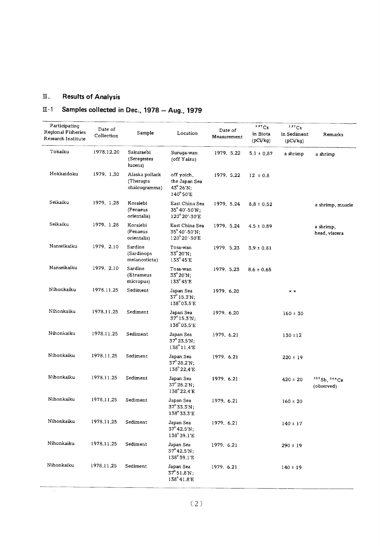## II. Results of Analysis

## II-1 Samples collected in Dec., 1978 - Aug., 1979

| Participating<br>Regional Fisheries<br>Research Institute | Date of<br>Collection | Sample                                       | Location                                                       | Date of<br>Measurement | 137Cs<br>in Biota<br>(pCi/kg) | 137Cs<br>in Sediment<br>(pCi/kg) | Remarks                          |
|-----------------------------------------------------------|-----------------------|----------------------------------------------|----------------------------------------------------------------|------------------------|-------------------------------|----------------------------------|----------------------------------|
| Tokaiku                                                   | 1978.12.20            | Sakuraebi<br>(Seregestes<br>lucens)          | Suruga-wan<br>(off Yaizu)                                      | 1979. 5.22             | $5.1 \pm 0.87$                | a shrimp                         | a shrimp                         |
| Hokkaidoku                                                | 1979. 1.30            | Alaska pollack<br>(Theragra<br>chalcogramma) | off yoich,<br>the Japan Sea<br>$43^{\circ} 26'$ N;<br>140°50'E | 1979, 5,22             | $12 \pm 0.8$                  |                                  |                                  |
| Seikaiku                                                  | 1979. 1.28            | Koraiebi<br>(Penaeus<br>orientalis)          | East China Sea<br>35°40'-50'N:<br>120° 20′-30'E                | 1979. 5.24             | $8.8 \pm 0.52$                |                                  | a shrimp, muscle                 |
| Seikaiku                                                  | 1979, 1.28            | Koraiebi<br>(Penaeus<br>orientalis)          | East China Sea<br>35°40'-50'N;<br>120°20'-30'E                 | 1979, 5.24             | $4.5 \pm 0.89$                |                                  | a shrimp,<br>head, viscera       |
| Nanseikaiku                                               | 1979. 2.10            | Sardine<br>(Sardinops<br>melanosticta)       | Tosa-wan<br>$33^{\circ}20'$ N;<br>133°45'E                     | 1979, 5.23             | $3.9 \pm 0.81$                |                                  |                                  |
| Nanseikaiku                                               | 1979. 2.10            | Sardine<br>(Etrumeus<br>micropus)            | Tosa-wan<br>33°20'N;<br>$133^{\circ}45'E$                      | 1979. 5.23             | $8.6 \pm 0.65$                |                                  |                                  |
| Nihonkaiku                                                | 1978.11.25            | Sediment                                     | Japan Sea<br>$37^{\circ}$ 15.3'N;<br>138°03.5'E                | 1979. 6.20             |                               | * *                              |                                  |
| Nihonkaiku                                                | 1978.11.25            | Sediment                                     | Japan Sea<br>$37^{\circ}15.3'N;$<br>138°03.5'E                 | 1979. 6.20             |                               | $160 \pm 30$                     |                                  |
| Nihonkaiku                                                | 1978.11.25            | Sediment                                     | Japan Sea<br>$37^{\circ}23.5'N;$<br>138°11.4'E                 | 1979. 6.21             |                               | $130 \pm 12$                     |                                  |
| Nihonkaiku                                                | 1978.11.25            | Sediment                                     | Japan Sea<br>$37^{\circ}28.2'N;$<br>138°22.4'E                 | 1979. 6.21             |                               | $220 \pm 19$                     |                                  |
| Nihonkaiku                                                | 1978.11.25            | Sediment                                     | Japan Sea<br>$37^{\circ}28.2'N$ ;<br>138°22.4'E                | 1979. 6.21             |                               | $420 \pm 20$                     | $125$ Sb, $144$ Ce<br>(observed) |
| Nihonkaiku                                                | 1978.11.25            | Sediment                                     | Japan Sea<br>$37^{\circ}33.3'N;$<br>138°33.3'E                 | 1979. 6.21             |                               | $160 \pm 20$                     |                                  |
| Nihonkaiku                                                | 1978.11.25            | Sediment                                     | Japan Sea<br>$37^{\circ}42.5'N$ ;<br>138°39.1'E                | 1979. 6.21             |                               | $140 \pm 17$                     |                                  |
| Nihonkaiku                                                | 1978.11.25            | Sediment                                     | Japan Sea<br>$37^{\circ}42.5'N;$<br>138°39.1'E                 | 1979. 6.21             |                               | $290 \pm 19$                     |                                  |
| Nihonkaiku                                                | 1978.11.25            | Sediment                                     | Japan Sea<br>$37^{\circ}51.8^{\circ}N;$<br>138°41.8'E          | 1979. 6.21             |                               | $140 \pm 19$                     |                                  |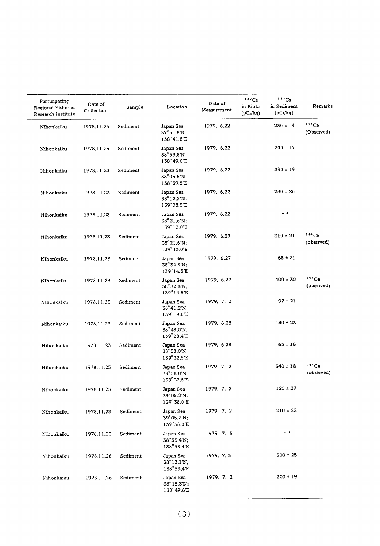| Participating<br>Regional Fisheries<br>Research Institute | Date of<br>Collection | Sample   | Location                                        | Date of<br>Measurement | 137Cs<br>in Biota<br>(pCi/kg) | 137Cs<br>in Sediment<br>(pCi/kg) | Remarks                |
|-----------------------------------------------------------|-----------------------|----------|-------------------------------------------------|------------------------|-------------------------------|----------------------------------|------------------------|
| Nihonkaiku                                                | 1978.11.25            | Sediment | Japan Sea<br>$37^{\circ}51.8'N$ ;<br>138°41.8'E | 1979. 6.22             |                               | $230 \pm 14$                     | $144$ Ce<br>(Observed) |
| Nihonkaiku                                                | 1978, 11.25           | Sediment | Japan Sea<br>$38^{\circ}59.8'N;$<br>138°49.0'E  | 1979. 6.22             |                               | $240 \pm 17$                     |                        |
| Nihonkaiku                                                | 1978.11.23            | Sediment | Japan Sea<br>$38^{\circ}05.5'N;$<br>138°59.5'E  | 1979. 6.22             |                               | 390 ± 19                         |                        |
| Nihonkaiku                                                | 1978.11.23            | Sediment | Japan Sea<br>$38^{\circ}$ 12.2'N;<br>139°08.5'E | 1979. 6.22             |                               | $280 \pm 26$                     |                        |
| Nihonkaiku                                                | 1978.11.23            | Sediment | Japan Sea<br>$38^{\circ}21.6'$ N;<br>139°13.0'E | 1979. 6.22             |                               | * *                              |                        |
| Nihonkaiku                                                | 1978.11.23            | Sediment | Japan Sea<br>38°21.6'N;<br>$139^{\circ}$ 13.0'E | 1979. 6.27             |                               | $310 \pm 21$                     | $144$ Ce<br>(observed) |
| Nihonkaiku                                                | 1978.11.23            | Sediment | Japan Sea<br>$38^{\circ}32.8'N;$<br>139°14.5'E  | 1979. 6.27             |                               | $68 \pm 21$                      |                        |
| Nihonkaiku                                                | 1978.11.23            | Sediment | Japan Sea<br>$38^{\circ}32.8'N;$<br>139°14.5'E  | 1979. 6.27             |                               | $400 \pm 30$                     | $144$ Ce<br>(observed) |
| Nihonkaiku                                                | 1978.11.23            | Sediment | Japan Sea<br>$38^{\circ}41.2'N;$<br>139°19.0'E  | 1979. 7. 2             |                               | $97 \pm 21$                      |                        |
| Nihonkaiku                                                | 1978.11.23            | Sediment | Japan Sea<br>$38^{\circ}48.0'N;$<br>139°28.4'E  | 1979. 6.28             |                               | $140 \pm 23$                     |                        |
| Nihonkaiku                                                | 1978.11.23            | Sediment | Japan Sea<br>38°58.0'N;<br>139°32.5'E           | 1979. 6.28             |                               | $63 \pm 16$                      |                        |
| Nihonkaiku                                                | 1978.11.23            | Sediment | Japan Sea<br>38°58.0'N;<br>139°32.5'E           | 1979. 7. 2             |                               | $340 \pm 18$                     | 144 Ce<br>(observed)   |
| Nihonkaiku                                                | 1978.11.23            | Sediment | Japan Sea<br>39°05.2'N;<br>139°38.0'E           | 1979. 7. 2             |                               | $120 \pm 27$                     |                        |
| Nihonkaiku                                                | 1978.11.23            | Sediment | Japan Sea<br>$39^{\circ}05.2'N;$<br>139°38.0'E  | 1979. 7. 2             |                               | $210 \pm 22$                     |                        |
| Nihonkaiku                                                | 1978.11.23            | Sediment | Japan Sea<br>38°53.4'N;<br>138°53.4'E           | 1979. 7. 3             |                               | $\star$ $\star$                  |                        |
| Nihonkaiku                                                | 1978.11.26            | Sediment | Japan Sea<br>38°13.1'N;<br>138°53.4'E           | 1979. 7.3              |                               | $300 \pm 25$                     |                        |
| Nihonkaiku                                                | 1978.11.26            | Sediment | Japan Sea<br>38°18.3'N;<br>138°49.6'E           | 1979. 7. 2             |                               | $200 \pm 19$                     |                        |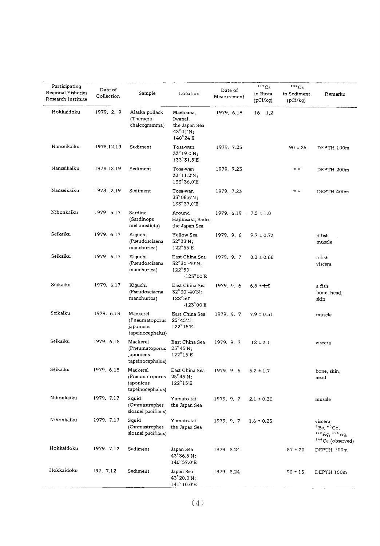| Participating<br>Regional Fisheries<br>Research Institute | Date of<br>Collection | Sample                                                      | Location                                                                  | Date of<br>Measurement   | 137Cs<br>in Biota<br>(pCi/kg) | 137Cs<br>in Sediment<br>(pCi/kg) | Remarks                                                             |
|-----------------------------------------------------------|-----------------------|-------------------------------------------------------------|---------------------------------------------------------------------------|--------------------------|-------------------------------|----------------------------------|---------------------------------------------------------------------|
| Hokkaidoku                                                | 1979. 2. 9            | Alaska pollack<br>(Theragra<br>chalcogramma)                | Maehama,<br>Iwanai,<br>the Japan Sea<br>$43^{\circ}01'$ N;<br>140°24'E    | 1979. 6.18               | 16<br>1.2                     |                                  |                                                                     |
| Nanseikaiku                                               | 1978.12.19            | Sediment                                                    | Tosa-wan<br>$33^{\circ}19.0'$ N;<br>133°31.5'E                            | 1979. 7.23               |                               | $90 \pm 25$                      | DEPTH 100m                                                          |
| Nanseikaiku                                               | 1978.12.19            | Sediment                                                    | Tosa-wan<br>$33^{\circ}11.2'N$ :<br>133°36.0'E                            | 1979. 7.23               |                               | $* *$                            | DEPTH 200m                                                          |
| Nanseikaiku                                               | 1978.12.19            | Sediment                                                    | Tosa-wan<br>$33^{\circ}08.6'$ N;<br>133°37.0'E                            | 1979. 7.23               |                               | $\star$ $\star$                  | DEPTH 400m                                                          |
| Nihonkaiku                                                | 1979. 5.17            | Sardine<br>(Sardinops<br>melanosticta)                      | Around<br>Hajikisaki, Sado,<br>the Japan Sea                              | 1979. 6.19 $7.5 \pm 1.0$ |                               |                                  |                                                                     |
| Seikaiku                                                  | 1979. 6.17            | Kiguchi<br>(Pseudosciaena<br>manchurica)                    | Yellow Sea<br>32°33'N;<br>$122^{\circ}55'E$                               | 1979. 9. 6               | $9.7 \pm 0.73$                |                                  | a fish<br>muscle                                                    |
| Seikaiku                                                  | 1979. 6.17            | Kiguchi<br>(Pseudosciaena<br>manchurica)                    | East China Sea<br>32°30'-40'N;<br>$122^{\circ}50'$<br>$-123^{\circ}00'E$  | 1979. 9. 7               | $8.3 \pm 0.68$                |                                  | a fish<br>viscera                                                   |
| Seikaiku                                                  | 1979. 6.17            | Kiguchi<br>(Pseudosciaena<br>manchurica)                    | East China Sea<br>32°30'-40'N;<br>$122^{\circ}50'$<br>$-123^{\circ}00'E$  | 1979. 9. 6               | $6.5 \pm 0$                   |                                  | a fish<br>bone, head,<br>skin                                       |
| Seikaiku                                                  | 1979. 6.18            | Mackerel<br>(Pneumatoporus<br>japonicus<br>tapeinocephalus) | East China Sea<br>$25^{\circ}45'$ N;<br>$122^{\circ}15'E$                 | 1979. 9. 7               | $7.9 \pm 0.51$                |                                  | muscle                                                              |
| Seikaiku                                                  | 1979. 6.18            | Mackerel<br>(Pneumatoporus<br>japonicus<br>tapeinocephalus) | East China Sea<br>$25^{\circ}45'$ N;<br>$122^{\circ}15'E$                 | 1979. 9. 7               | $12 \pm 3.1$                  |                                  | viscera                                                             |
| Seikaiku                                                  | 1979. 6.18            | Mackerel<br>(Pneumatoporus<br>japonicus<br>tapeinocephalus) | East China Sea<br>$25^{\circ}45'N;$<br>$122^{\circ}15^{\prime}\mathrm{E}$ | 1979. 9. 6               | $5.2 \pm 1.7$                 |                                  | bone, skin,<br>head                                                 |
| Nihonkaiku                                                | 1979. 7.17            | Squid<br>(Ommastrephes<br>sloanei pacificus)                | Yamato-tai<br>the Japan Sea                                               | 1979. 9. 7               | $2.1 \pm 0.30$                |                                  | muscle                                                              |
| Nihonkaiku                                                | 1979. 7.17            | Squid<br>(Ommastrephes<br>sloanei pacificus)                | Yamato-tai<br>the Japan Sea                                               | 1979. 9. 7               | $1.6 \pm 0.25$                |                                  | viscera<br>7Be, 60Co,<br>$110$ Ag, $108$ Ag,<br>$144$ Ce (observed) |
| Hokkaidoku                                                | 1979. 7.12            | Sediment                                                    | Japan Sea<br>$43^{\circ}36.5'N;$<br>140°57.0'E                            | 1979. 8.24               |                               | $87 \pm 20$                      | DEPTH 100m                                                          |
| Hokkaidoku                                                | 197. 7.12             | Sediment                                                    | Japan Sea<br>$43^{\circ}20.0'N;$<br>$141^{\circ}10.0^{\prime}E$           | 1979. 8.24               |                               | $90 \pm 15$                      | DEPTH 100m                                                          |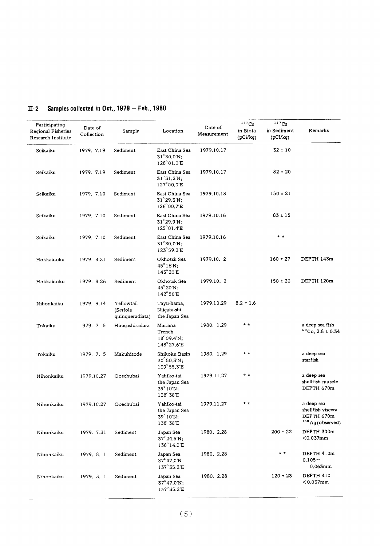| Participating<br>Regional Fisheries<br>Research Institute | Date of<br>Collection | Sample                                    | Location                                               | Date of<br>Measurement | 137Cs<br>in Biota<br>(pCi/kg) | 137Cs<br>in Sediment<br>(pCi/kg) | Remarks                                                                       |
|-----------------------------------------------------------|-----------------------|-------------------------------------------|--------------------------------------------------------|------------------------|-------------------------------|----------------------------------|-------------------------------------------------------------------------------|
| Seikaiku                                                  | 1979. 7.19            | Sediment                                  | East China Sea<br>$31^{\circ}30.0'$ N;<br>128°01.0'E   | 1979.10.17             |                               | $32 \pm 10$                      |                                                                               |
| Seikaiku                                                  | 1979. 7.19            | Sediment                                  | East China Sea<br>$31^{\circ}31.2'N;$<br>127°00.0'E    | 1979.10.17             |                               | $82 \pm 20$                      |                                                                               |
| Seikaiku                                                  | 1979. 7.10            | Sediment                                  | East China Sea<br>$31^{\circ}29.3'N;$<br>126°00.7'E    | 1979.10.18             |                               | $150 \pm 21$                     |                                                                               |
| Seikaiku                                                  | 1979. 7.10            | Sediment                                  | East China Sea<br>$31^{\circ}29.9'N;$<br>125°01.4'E    | 1979.10.16             |                               | $83 \pm 15$                      |                                                                               |
| Seikaiku                                                  | 1979. 7.10            | Sediment                                  | East China Sea<br>$31^{\circ}30.0'N;$<br>123°59.3'E    | 1979.10.16             |                               | * *                              |                                                                               |
| Hokkaidoku                                                | 1979. 8.21            | Sediment                                  | Okhotsk Sea<br>$45^{\circ}16'$ N;<br>143°20'E          | 1979.10.2              |                               | $160 \pm 27$                     | DEPTH 143m                                                                    |
| Hokkaidoku                                                | 1979. 8.26            | Sediment                                  | Okhotsk Sea<br>45°20'N;<br>142°50'E                    | 1979.10.2              |                               | $150 \pm 20$                     | DEPTH 120m                                                                    |
| Nihonkaiku                                                | 1979. 9.14            | Yellowtail<br>(Seriola<br>quinqueradiata) | Tayu-hama,<br>Niigata-shi<br>the Japan Sea             | 1979.10.29             | $8.2 \pm 1.6$                 |                                  |                                                                               |
| Tokaiku                                                   | 1979. 7. 5            | Hiragashiradara                           | Mariana<br>Trench<br>$18^{\circ}09.4'N;$<br>148°27.6'E | 1980. 1.29             | * *                           |                                  | a deep sea fish<br>$60C_0$ , $2.8 \pm 0.34$                                   |
| Tokaiku                                                   | 1979. 7. 5            | Makuhitode                                | Shikoku Basin<br>$30^{\circ}50.3'N;$<br>139°55.3'E     | 1980, 1.29             | $* *$                         |                                  | a deep sea<br>starfish                                                        |
| Nihonkaiku                                                | 1979.10.27            | Ooechubai                                 | Yahiko-tai<br>the Japan Sea<br>39°10'N;<br>138°38'E    | 1979.11.27             | * *                           |                                  | a deep sea<br>shellfish muscle<br>DEPTH 670m                                  |
| Nihonkaiku                                                | 1979.10.27            | Ooechubai                                 | Yahiko-tai<br>the Japan Sea<br>39°10'N;<br>138°38'E    | 1979.11.27             | * *                           |                                  | a deep sea<br>shellfish viscera<br>DEPTH 670m<br><sup>108</sup> Ag (observed) |
| Nihonkaiku                                                | 1979. 7.31            | Sediment                                  | Japan Sea<br>$37^{\circ}24.5'N;$<br>138°14.0'E         | 1980. 2.28             |                               | $200 \pm 22$                     | DEPTH 300m<br>$< 0.037$ mm                                                    |
| Nihonkaiku                                                | 1979. 8. 1            | Sediment                                  | Japan Sea<br>37°47.0'N<br>137°35.2'E                   | 1980. 2.28             |                               | $\star$ $\star$                  | DEPTH 410m<br>$0.105 -$<br>0.063mm                                            |
| Nihonkaiku                                                | 1979. 8. 1            | Sediment                                  | Japan Sea<br>$37^{\circ}47.0'N;$<br>137°35.2'E         | 1980. 2.28             |                               | $120 \pm 23$                     | DEPTH 410<br>$< 0.037$ mm                                                     |

#### $\Pi$ -2 Samples collected in Oct., 1979 - Feb., 1980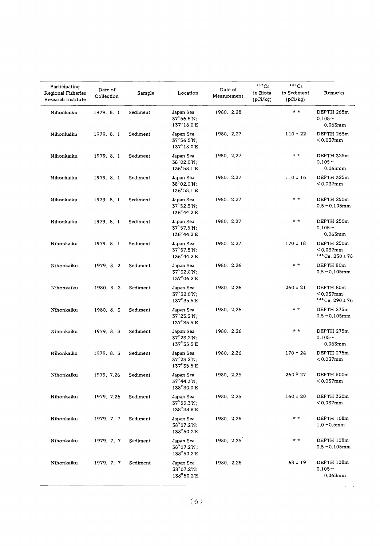| Participating<br>Regional Fisheries<br>Research Institute | Date of<br>Collection | Sample   | Location                                                  | Date of<br>Measurement | 137Cs<br>in Biota<br>(pCi/kg) | 137Cs<br>in Sediment<br>(pCi/ka) | Remarks                                          |
|-----------------------------------------------------------|-----------------------|----------|-----------------------------------------------------------|------------------------|-------------------------------|----------------------------------|--------------------------------------------------|
| Nihonkaiku                                                | 1979. 8. 1            | Sediment | Japan Sea<br>37°56.5'N;<br>137°18.0'E                     | 1980. 2.28             |                               | $\star$ $\star$                  | DEPTH 265m<br>$0.105 -$<br>0.063mm               |
| Nihonkaiku                                                | 1979. 8. 1            | Sediment | Japan Sea<br>$37^{\circ}56.5'N;$<br>137°18.0'E            | 1980, 2.27             |                               | $110 \pm 22$                     | DEPTH 265m<br>$<$ 0.037 $mm$                     |
| Nihonkaiku                                                | 1979. 8. 1            | Sediment | Japan Sea<br>38° 02.0'N;<br>136°58.1'E                    | 1980. 2.27             |                               | $* *$                            | DEPTH 325m<br>$0.105 -$<br>0.063mm               |
| Nihonkaiku                                                | 1979. 8. 1            | Sediment | Japan Sea<br>$38^{\circ}02.0$ N;<br>$136^{\circ}58.1$ 'E  | 1980. 2.27             |                               | $110 \pm 16$                     | DEPTH 325m<br>$< 0.037$ mm                       |
| Nihonkaiku                                                | 1979. 8. 1            | Sediment | Japan Sea<br>$37^{\circ}52.5'N;$<br>$136^{\circ}44.2$ 'E  | 1980. 2.27             |                               | * *                              | DEPTH 250m<br>$0.5 - 0.105$ mm                   |
| Nihonkaiku                                                | 1979. 8. 1            | Sediment | Japan Sea<br>37°57.5'N:<br>136°44.2'E                     | 1980. 2.27             |                               | $\star$ $\star$                  | DEPTH 250m<br>$0.105 -$<br>0.063mm               |
| Nihonkaiku                                                | 1979. 8. 1            | Sediment | Japan Sea<br>$37^{\circ}57.5'N$ ;<br>$136^{\circ}44.2$ 'E | 1980. 2.27             |                               | $170 \pm 18$                     | DEPTH 250m<br>$< 0.037$ mm<br>$144$ Ce, 230 ± 78 |
| Nihonkaiku                                                | 1979. 8. 2            | Sediment | Japan Sea<br>$37^{\circ}32.0'N;$<br>137°06.2'E            | 1980. 2.26             |                               | $\star$ $\star$                  | DEPTH 80m<br>$0.5 - 0.105$ mm                    |
| Nihonkaiku                                                | 1980. 8. 2            | Sediment | Japan Sea<br>37°32.0'N;<br>137°35.5'E                     | 1980. 2.26             |                               | $260 \pm 21$                     | DEPTH 80m<br>$< 0.037$ mm<br>$144$ Ce, 290 ± 76  |
| Nihonkaiku                                                | 1980. 8. 3            | Sediment | Japan Sea<br>$37^{\circ}23.2'N$ ;<br>137°35.5'E           | 1980. 2.26             |                               | $\star$ $\star$                  | DEPTH 275m<br>$0.5 - 0.105$ mm                   |
| Nihonkaiku                                                | 1979. 8. 3            | Sediment | Japan Sea<br>$37^{\circ}23.2'N$ ;<br>137°35.5'E           | 1980. 2.26             |                               | $\star\star$                     | DEPTH 275m<br>$0.105 -$<br>0.063mm               |
| Nihonkaiku                                                | 1979. 8. 3            | Sediment | Japan Sea<br>$37^{\circ}23.2'N;$<br>137°35.5'E            | 1980. 2.26             |                               | $170 \pm 24$                     | DEPTH 275m<br>$< 0.037$ mm                       |
| Nihonkaiku                                                | 1979. 7.26            | Sediment | Japan Sea<br>$37^{\circ}44.3'N;$<br>138°30.0'E            | 1980. 2.26             |                               | $260 \pm 27$                     | DEPTH 500m<br>$< 0.037$ mm                       |
| Nihonkaiku                                                | 1979. 7.26            | Sediment | Japan Sea<br>$37^{\circ}55.3'N;$<br>138°38.8'E            | 1980. 2.25             |                               | $160 \pm 20$                     | DEPTH 320m<br>$< 0.037$ mm                       |
| Nihonkaiku                                                | 1979. 7. 7            | Sediment | Japan Sea<br>$38^{\circ}07.2'N$ ;<br>138°50.2'E           | 1980. 2.25             |                               | $\star \star$                    | DEPTH 108m<br>$1.0 - 0.5$ mm                     |
| Nihonkaiku                                                | 1979. 7. 7            | Sediment | Japan Sea<br>$38^{\circ}07.2'N$ ;<br>138°50.2'E           | 1980. 2.25             |                               | $\star$ $\star$                  | DEPTH 108m<br>$0.5 - 0.105$ mm                   |
| Nihonkaiku                                                | 1979. 7. 7            | Sediment | Japan Sea<br>$38^{\circ}07.2'N;$<br>138°50.2'E            | 1980. 2.25             |                               | $68 \pm 19$                      | DEPTH 108m<br>$0.105 -$<br>0.063mm               |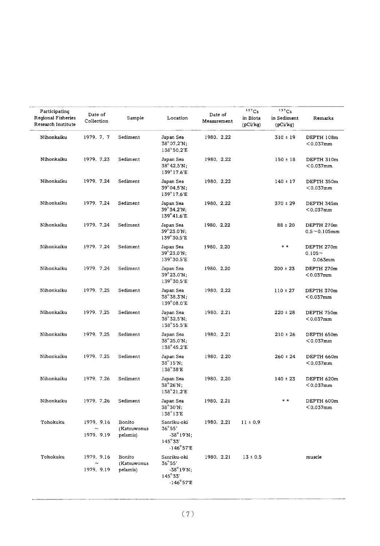| Participating<br>Regional Fisheries<br>Research Institute | Date of<br>Collection               | Sample                | Location                                                     | Date of<br>Measurement | 137Cs<br>in Biota<br>(pCi/kg) | 137Cs<br>in Sediment<br>(pCi/kg) | Remarks                            |
|-----------------------------------------------------------|-------------------------------------|-----------------------|--------------------------------------------------------------|------------------------|-------------------------------|----------------------------------|------------------------------------|
| Nihonkaiku                                                | 1979. 7. 7                          | Sediment              | Japan Sea<br>38°07.2'N;<br>138°50.2'E                        | 1980. 2.22             |                               | $310 \pm 19$                     | DEPTH 108m<br>$< 0.037$ mm         |
| Nihonkaiku                                                | 1979. 7.23                          | Sediment              | Japan Sea<br>$38^{\circ}42.5'N;$<br>139°17.6'E               | 1980, 2.22             |                               | $150 \pm 18$                     | DEPTH 310m<br>$< 0.037$ mm         |
| Nihonkaiku                                                | 1979, 7.24                          | Sediment              | Japan Sea<br>$39^{\circ}04.5'N;$<br>139°17.6'E               | 1980. 2.22             |                               | $140 \pm 17$                     | DEPTH 350m<br>$< 0.037$ mm         |
| Nihonkaiku                                                | 1979. 7.24                          | Sediment              | Japan Sea<br>39°34.2'N;<br>139°41.6'E                        | 1980. 2.22             |                               | $370 \pm 29$                     | DEPTH 345m<br>$< 0.037$ mm         |
| Nihonkaiku                                                | 1979. 7.24                          | Sediment              | Japan Sea<br>39°23.0'N;<br>139°30.5'E                        | 1980. 2.22             |                               | $88 \pm 20$                      | DEPTH 270m<br>$0.5 - 0.105$ mm     |
| Nihonkaiku                                                | 1979. 7.24                          | Sediment              | Japan Sea<br>39°23.0'N;<br>139°30.5'E                        | 1980. 2.20             |                               | $\star$ $\star$                  | DEPTH 270m<br>$0.105 -$<br>0.063mm |
| Nihonkaiku                                                | 1979. 7.24                          | Sediment              | Japan Sea<br>39°23.0'N;<br>139°30.5'E                        | 1980, 2.20             |                               | $200 \pm 23$                     | DEPTH 270m<br>$< 0.037$ mm         |
| Nihonkaiku                                                | 1979. 7.25                          | Sediment              | Japan Sea<br>$38^{\circ}38.3'N;$<br>139°08.0'E               | 1980. 2.22             |                               | $110 \pm 27$                     | DEPTH 370m<br>$< 0.037$ mm         |
| Nihonkaiku                                                | 1979. 7.25                          | Sediment              | Japan Sea<br>$38^{\circ}32.5^{\prime}N;$<br>138°55.5'E       | 1980. 2.21             |                               | $220 \pm 28$                     | DEPTH 750m<br>$< 0.037$ mm         |
| Nihonkaiku                                                | 1979. 7.25                          | Sediment              | Japan Sea<br>$38^{\circ}25.0'N$ ;<br>138°45.2'E              | 1980. 2.21             |                               | $210 \pm 26$                     | DEPTH 650m<br>$< 0.037$ mm         |
| Nihonkaiku                                                | 1979. 7.25                          | Sediment              | Japan Sea<br>$38^{\circ}15'$ N;<br>138°38'E                  | 1980. 2.20             |                               | $260 \pm 24$                     | DEPTH 660m<br>$< 0.037$ mm         |
| Nihonkaiku                                                | 1979. 7.26                          | Sediment              | Japan Sea<br>$38^{\circ}26'N;$<br>138°21.2'E                 | 1980. 2.20             |                               | $140 \pm 23$                     | DEPTH 620m<br>$< 0.037$ mm         |
| Nihonkaiku                                                | 1979. 7.26                          | Sediment              | Japan Sea<br>38°30'N;<br>$138^{\circ}13^{\prime}\mathrm{E}$  | 1980. 2.21             |                               | $\star$ $\star$                  | DEPTH 600m<br>$< 0.037$ mm         |
| Tohokuku                                                  | 1979. 9.16<br>$\tilde{\phantom{a}}$ | Bonito<br>(Katsuwonus | Sanriku-oki<br>36°55'                                        | 1980. 2.21             | $11 \pm 0.9$                  |                                  |                                    |
|                                                           | 1979. 9.19                          | pelamis)              | $-38^{\circ}19'N;$<br>$145^{\circ}33'$<br>$-146^{\circ}57'E$ |                        |                               |                                  |                                    |
| Tohokuku                                                  | 1979. 9.16                          | Bonito<br>(Katsuwonus | $\mbox{Sanriku-oki}$<br>36°55'                               | 1980. 2.21             | $13 \pm 0.5$                  |                                  | muscle                             |
|                                                           | 1979. 9.19                          | pelamis)              | $-38^{\circ}19'N;$<br>$145^{\circ}33'$<br>$-146^{\circ}57'E$ |                        |                               |                                  |                                    |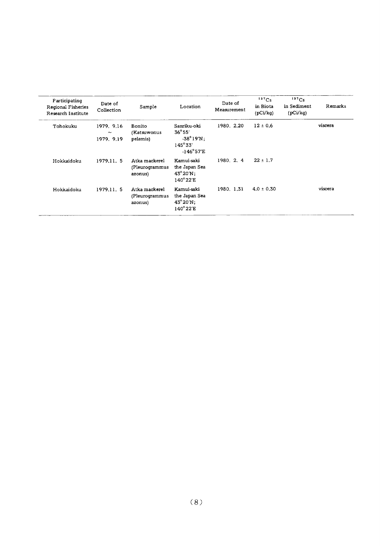| Participating<br>Regional Fisheries<br>Research Institute | Date of<br>Collection                                 | Sample                                     | Location                                                                                        | Date of<br>Measurement | $137C_S$<br>in Biota<br>(pCi/kg) | 137Cs<br>in Sediment<br>(pCi/ka) | Remarks |
|-----------------------------------------------------------|-------------------------------------------------------|--------------------------------------------|-------------------------------------------------------------------------------------------------|------------------------|----------------------------------|----------------------------------|---------|
| Tohokuku                                                  | 1979. 9.16<br>$\widetilde{\phantom{m}}$<br>1979. 9.19 | Bonito<br>(Katsuwonus<br>pelamis)          | Sanriku-oki<br>$36^{\circ}55'$<br>$-38^{\circ}19'N$ :<br>$145^{\circ}33'$<br>$-146^{\circ}57'E$ | 1980, 2.20             | $12 \pm 0.6$                     |                                  | viscera |
| Hokkaidoku                                                | 1979.11. 5                                            | Atka mackerel<br>(Pleurogrammus<br>azonus) | Kamui-saki<br>the Japan Sea<br>$43^{\circ}20'N;$<br>140°22'E                                    | 1980. 2. 4             | $22 \pm 1.7$                     |                                  |         |
| Hokkaidoku                                                | 1979.11.5                                             | Atka mackerel<br>(Pleurogrammus<br>azonus) | Kamui-saki<br>the Japan Sea<br>$43^{\circ}20'$ N;<br>$140^\circ 22' E$                          | 1980, 1.31             | $4.0 \pm 0.30$                   |                                  | viscera |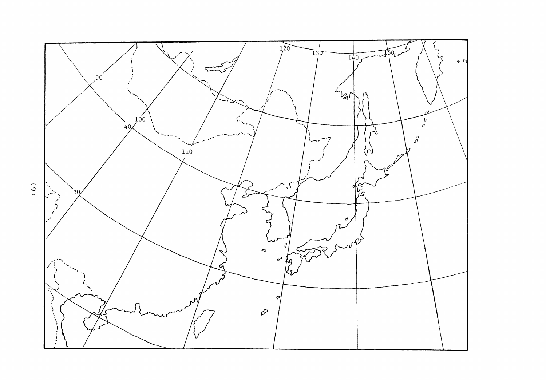

 $(6)$